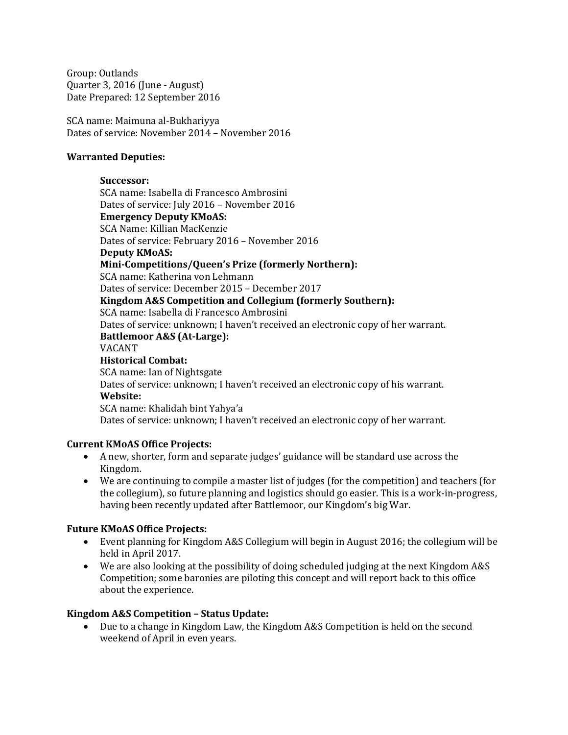Group: Outlands Quarter 3, 2016 (June - August) Date Prepared: 12 September 2016

SCA name: Maimuna al-Bukhariyya Dates of service: November 2014 – November 2016

#### **Warranted Deputies:**

#### **Successor:**

SCA name: Isabella di Francesco Ambrosini Dates of service: July 2016 – November 2016 **Emergency Deputy KMoAS:**

SCA Name: Killian MacKenzie

Dates of service: February 2016 – November 2016

#### **Deputy KMoAS:**

**Mini-Competitions/Queen's Prize (formerly Northern):**

SCA name: Katherina von Lehmann

Dates of service: December 2015 – December 2017

#### **Kingdom A&S Competition and Collegium (formerly Southern):**

SCA name: Isabella di Francesco Ambrosini

Dates of service: unknown; I haven't received an electronic copy of her warrant.

#### **Battlemoor A&S (At-Large):**

#### VACANT

**Historical Combat:** SCA name: Ian of Nightsgate Dates of service: unknown; I haven't received an electronic copy of his warrant.

# **Website:**

SCA name: Khalidah bint Yahya'a

Dates of service: unknown; I haven't received an electronic copy of her warrant.

# **Current KMoAS Office Projects:**

- A new, shorter, form and separate judges' guidance will be standard use across the Kingdom.
- We are continuing to compile a master list of judges (for the competition) and teachers (for the collegium), so future planning and logistics should go easier. This is a work-in-progress, having been recently updated after Battlemoor, our Kingdom's big War.

# **Future KMoAS Office Projects:**

- Event planning for Kingdom A&S Collegium will begin in August 2016; the collegium will be held in April 2017.
- We are also looking at the possibility of doing scheduled judging at the next Kingdom A&S Competition; some baronies are piloting this concept and will report back to this office about the experience.

# **Kingdom A&S Competition – Status Update:**

• Due to a change in Kingdom Law, the Kingdom A&S Competition is held on the second weekend of April in even years.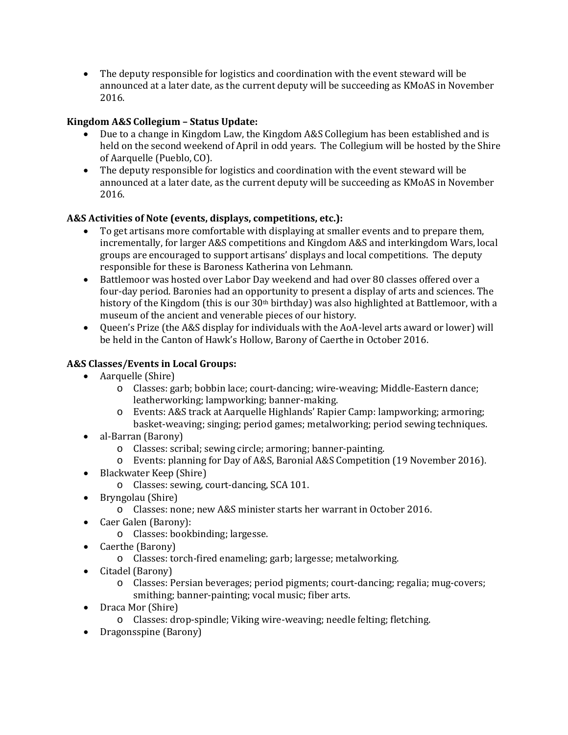• The deputy responsible for logistics and coordination with the event steward will be announced at a later date, as the current deputy will be succeeding as KMoAS in November 2016.

## **Kingdom A&S Collegium – Status Update:**

- Due to a change in Kingdom Law, the Kingdom A&S Collegium has been established and is held on the second weekend of April in odd years. The Collegium will be hosted by the Shire of Aarquelle (Pueblo, CO).
- The deputy responsible for logistics and coordination with the event steward will be announced at a later date, as the current deputy will be succeeding as KMoAS in November 2016.

#### **A&S Activities of Note (events, displays, competitions, etc.):**

- To get artisans more comfortable with displaying at smaller events and to prepare them, incrementally, for larger A&S competitions and Kingdom A&S and interkingdom Wars, local groups are encouraged to support artisans' displays and local competitions. The deputy responsible for these is Baroness Katherina von Lehmann.
- Battlemoor was hosted over Labor Day weekend and had over 80 classes offered over a four-day period. Baronies had an opportunity to present a display of arts and sciences. The history of the Kingdom (this is our 30<sup>th</sup> birthday) was also highlighted at Battlemoor, with a museum of the ancient and venerable pieces of our history.
- Queen's Prize (the A&S display for individuals with the AoA-level arts award or lower) will be held in the Canton of Hawk's Hollow, Barony of Caerthe in October 2016.

## **A&S Classes/Events in Local Groups:**

- Aarquelle (Shire)
	- o Classes: garb; bobbin lace; court-dancing; wire-weaving; Middle-Eastern dance; leatherworking; lampworking; banner-making.
	- o Events: A&S track at Aarquelle Highlands' Rapier Camp: lampworking; armoring; basket-weaving; singing; period games; metalworking; period sewing techniques.
- al-Barran (Barony)
	- o Classes: scribal; sewing circle; armoring; banner-painting.
	- o Events: planning for Day of A&S, Baronial A&S Competition (19 November 2016).
- Blackwater Keep (Shire)
	- o Classes: sewing, court-dancing, SCA 101.
- Bryngolau (Shire)
	- o Classes: none; new A&S minister starts her warrant in October 2016.
- Caer Galen (Barony):
	- o Classes: bookbinding; largesse.
- Caerthe (Barony)
	- o Classes: torch-fired enameling; garb; largesse; metalworking.
- Citadel (Barony)
	- o Classes: Persian beverages; period pigments; court-dancing; regalia; mug-covers; smithing; banner-painting; vocal music; fiber arts.
- Draca Mor (Shire)
	- o Classes: drop-spindle; Viking wire-weaving; needle felting; fletching.
- Dragonsspine (Barony)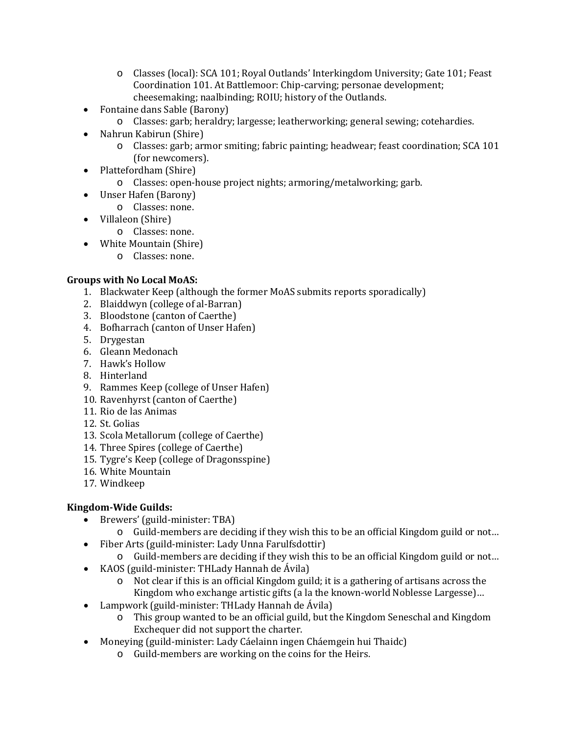- o Classes (local): SCA 101; Royal Outlands' Interkingdom University; Gate 101; Feast Coordination 101. At Battlemoor: Chip-carving; personae development; cheesemaking; naalbinding; ROIU; history of the Outlands.
- Fontaine dans Sable (Barony)
	- o Classes: garb; heraldry; largesse; leatherworking; general sewing; cotehardies.
- Nahrun Kabirun (Shire)
	- o Classes: garb; armor smiting; fabric painting; headwear; feast coordination; SCA 101 (for newcomers).
- Plattefordham (Shire)
	- o Classes: open-house project nights; armoring/metalworking; garb.
- Unser Hafen (Barony)
	- o Classes: none.
- Villaleon (Shire)
	- o Classes: none.
- White Mountain (Shire)
	- o Classes: none.

#### **Groups with No Local MoAS:**

- 1. Blackwater Keep (although the former MoAS submits reports sporadically)
- 2. Blaiddwyn (college of al-Barran)
- 3. Bloodstone (canton of Caerthe)
- 4. Bofharrach (canton of Unser Hafen)
- 5. Drygestan
- 6. Gleann Medonach
- 7. Hawk's Hollow
- 8. Hinterland
- 9. Rammes Keep (college of Unser Hafen)
- 10. Ravenhyrst (canton of Caerthe)
- 11. Rio de las Animas
- 12. St. Golias
- 13. Scola Metallorum (college of Caerthe)
- 14. Three Spires (college of Caerthe)
- 15. Tygre's Keep (college of Dragonsspine)
- 16. White Mountain
- 17. Windkeep

# **Kingdom-Wide Guilds:**

- Brewers' (guild-minister: TBA)
	- o Guild-members are deciding if they wish this to be an official Kingdom guild or not…
- Fiber Arts (guild-minister: Lady Unna Farulfsdottir)
	- o Guild-members are deciding if they wish this to be an official Kingdom guild or not…
- KAOS (guild-minister: THLady Hannah de Ávila)
	- o Not clear if this is an official Kingdom guild; it is a gathering of artisans across the Kingdom who exchange artistic gifts (a la the known-world Noblesse Largesse)…
- Lampwork (guild-minister: THLady Hannah de Ávila)
	- o This group wanted to be an official guild, but the Kingdom Seneschal and Kingdom Exchequer did not support the charter.
- Moneying (guild-minister: Lady Cáelainn ingen Cháemgein hui Thaidc)
	- o Guild-members are working on the coins for the Heirs.